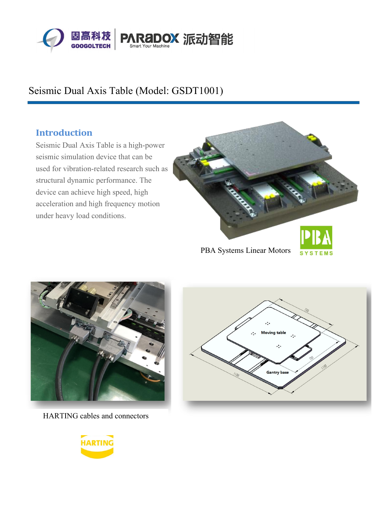

# Seismic Dual Axis Table (Model: GSDT1001)

#### **Introduction**

Seismic Dual Axis Table is a high-power seismic simulation device that can be used for vibration-related research such as structural dynamic performance. The device can achieve high speed, high acceleration and high frequency motion under heavy load conditions.



PBA Systems Linear Motors SYSTEMS



HARTING cables and connectors



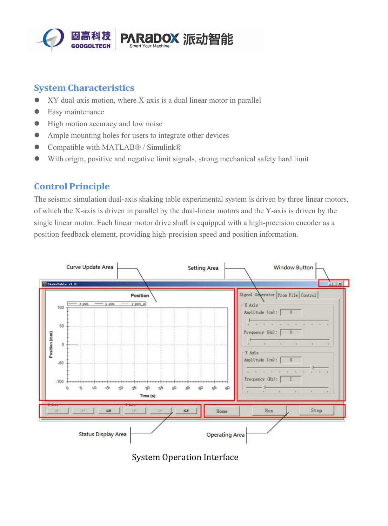

### **System Characteristics**

- XY dual-axis motion, where X-axis is a dual linear motor in parallel
- **•** Easy maintenance
- High motion accuracy and low noise
- Ample mounting holes for users to integrate other devices
- Compatible with MATLAB® / Simulink®
- With origin, positive and negative limit signals, strong mechanical safety hard limit

#### **Control Principle**

The seismic simulation dual-axis shaking table experimental system is driven by three linear motors, of which the X-axis is driven in parallel by the dual-linear motors and the Y-axis is driven by the single linear motor. Each linear motor drive shaft is equipped with a high-precision encoder as a position feedback element, providing high-precision speed and position information.



System Operation Interface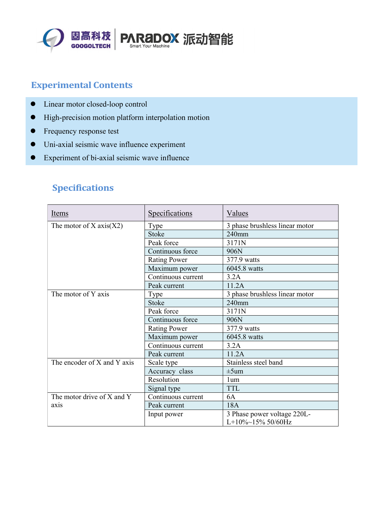

## **Experimental Contents**

- Linear motor closed-loop control
- $\bullet$  High-precision motion platform interpolation motion
- Frequency response test
- Uni-axial seismic wave influence experiment
- Experiment of bi-axial seismic wave influence

| Items                       | Specifications      | Values                         |
|-----------------------------|---------------------|--------------------------------|
| The motor of $X axis(X2)$   | Type                | 3 phase brushless linear motor |
|                             | <b>Stoke</b>        | 240mm                          |
|                             | Peak force          | 3171N                          |
|                             | Continuous force    | 906N                           |
|                             | <b>Rating Power</b> | 377.9 watts                    |
|                             | Maximum power       | 6045.8 watts                   |
|                             | Continuous current  | 3.2A                           |
|                             | Peak current        | 11.2A                          |
| The motor of Y axis         | Type                | 3 phase brushless linear motor |
|                             | <b>Stoke</b>        | $240$ mm                       |
|                             | Peak force          | 3171N                          |
|                             | Continuous force    | 906N                           |
|                             | <b>Rating Power</b> | 377.9 watts                    |
|                             | Maximum power       | 6045.8 watts                   |
|                             | Continuous current  | 3.2A                           |
|                             | Peak current        | 11.2A                          |
| The encoder of X and Y axis | Scale type          | Stainless steel band           |
|                             | Accuracy class      | $\pm 5$ um                     |
|                             | Resolution          | 1um                            |
|                             | Signal type         | <b>TTL</b>                     |
| The motor drive of X and Y  | Continuous current  | 6A                             |
| axis                        | Peak current        | 18A                            |
|                             | Input power         | 3 Phase power voltage 220L-    |
|                             |                     | $L+10\%~15\%~50/60Hz$          |